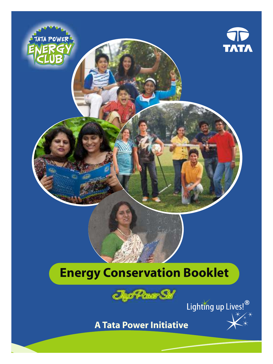





**A Tata Power Initiative**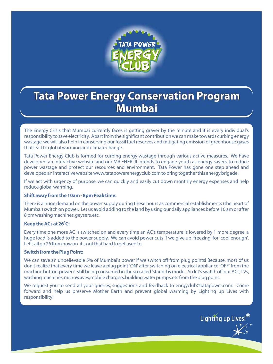

# **Tata Power Energy Conservation Program Mumbai**

The Energy Crisis that Mumbai currently faces is getting graver by the minute and it is every individual's responsibility to save electricity. Apart from the significant contribution we can make towards curbing energy wastage, we will also help in conserving our fossil fuel reserves and mitigating emission of greenhouse gases that lead to global warming and climate change.

Tata Power Energy Club is formed for curbing energy wastage through various active measures. We have developed an interactive website and our MR.ENER-JI intends to engage youth as energy savers, to reduce power wastage and protect our resources and environment. Tata Power has gone one step ahead and developed an interactive website www.tatapowerenergyclub.com to bring together this energy brigade.

If we act with urgency of purpose, we can quickly and easily cut down monthly energy expenses and help reduce global warming.

#### **Shift away from the 10am - 8pm Peak time:**

There is a huge demand on the power supply during these hours as commercial establishments (the heart of Mumbai) switch on power. Let us avoid adding to the land by using our daily appliances before 10 am or after 8 pm washing machines, geysers, etc.

#### **0 Keep the ACs at 26 C:**

Every time one more AC is switched on and every time an AC's temperature is lowered by 1 more degree, a huge load is added to the power supply. We can avoid power cuts if we give up 'freezing' for 'cool enough'. Let's all go 26 from now on it's not that hard to get used to.

### **Switch from the Plug Point:**

We can save an unbelievable 5% of Mumbai's power if we switch off from plug points! Because, most of us don't realize that every time we leave a plug point 'ON' after switching on electrical appliance 'OFF' from the machine button, power is still being consumed in the so called 'stand-by mode'. So let's switch off our ACs, TVs, washing machines, microwaves, mobile chargers, building water pumps, etc from the plug point.

We request you to send all your queries, suggestions and feedback to enrgyclub@tatapower.com. Come forward and help us preserve Mother Earth and prevent global warming by Lighting up Lives with responsibility!

Lighting up Lives!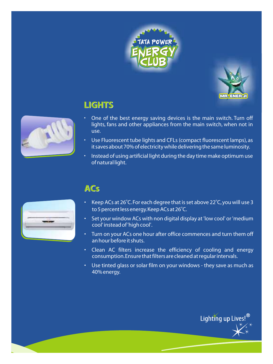



Lighting up Lives!<sup>®</sup>

# **LIGHTS**



- One of the best energy saving devices is the main switch. Turn off lights, fans and other appliances from the main switch, when not in use.
- Use Fluorescent tube lights and CFLs (compact fluorescent lamps), as it saves about 70% of electricity while delivering the same luminosity.
- Instead of using artificial light during the day time make optimum use of natural light.

## **ACs**

- Keep ACs at 26°C. For each degree that is set above 22°C, you will use 3 to 5 percent less energy. Keep ACs at 26°C.
- Set your window ACs with non digital display at 'low cool' or 'medium cool' instead of 'high cool'.
- Turn on your ACs one hour after office commences and turn them off an hour before it shuts.
- Clean AC filters increase the efficiency of cooling and energy consumption. Ensure that filters are cleaned at regular intervals.
- Use tinted glass or solar film on your windows they save as much as 40% energy.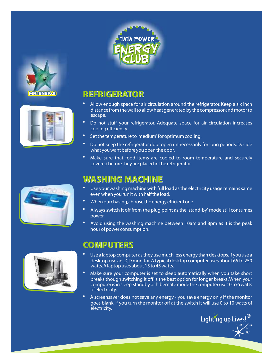



- Allow enough space for air circulation around the refrigerator. Keep a six inch distance from the wall to allow heat generated by the compressor and motor to escape.
- Do not stuff your refrigerator. Adequate space for air circulation increases cooling efficiency.
- Set the temperature to 'medium' for optimum cooling.
- Do not keep the refrigerator door open unnecessarily for long periods. Decide what you want before you open the door.
- Make sure that food items are cooled to room temperature and securely covered before they are placed in the refrigerator.

## **WASHING MACHINE**

- Use your washing machine with full load as the electricity usage remains same even when you run it with half the load.
- When purchasing, choose the energy efficient one.
- Always switch it off from the plug point as the 'stand-by' mode still consumes power.
- Avoid using the washing machine between 10am and 8pm as it is the peak hour of power consumption.

## **COMPUTERS**

- Use a laptop computer as they use much less energy than desktops. If you use a desktop, use an LCD monitor. A typical desktop computer uses about 65 to 250 watts. A laptop uses about 15 to 45 watts.
- Make sure your computer is set to sleep automatically when you take short breaks though switching it off is the best option for longer breaks. When your computer is in sleep, standby or hibernate mode the computer uses 0 to 6 watts of electricity.
- A screensaver does not save any energy you save energy only if the monitor goes blank. If you turn the monitor off at the switch it will use 0 to 10 watts of electricity.







**MR. ENER.JI**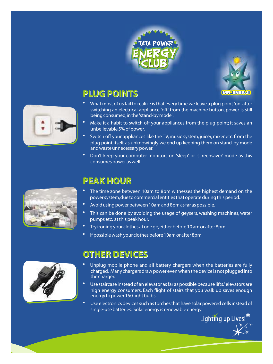



Lighting up Lives!<sup>®</sup>

# **PLUG POINTS**

- What most of us fail to realize is that every time we leave a plug point 'on' after switching an electrical appliance 'off' from the machine button, power is still being consumed, in the 'stand-by mode'.
- Make it a habit to switch off your appliances from the plug point; it saves an unbelievable 5% of power.
- Switch off your appliances like the TV, music system, juicer, mixer etc. from the plug point itself, as unknowingly we end up keeping them on stand-by mode and waste unnecessary power.
- Don't keep your computer monitors on 'sleep' or 'screensaver' mode as this consumes power as well.



# **PEAK HOUR**

- The time zone between 10am to 8pm witnesses the highest demand on the power system, due to commercial entities that operate during this period.
- Avoid using power between 10am and 8pm as far as possible.
- This can be done by avoiding the usage of geysers, washing machines, water pumps etc. at this peak hour.
- Try ironing your clothes at one go, either before 10 am or after 8pm.
- If possible wash your clothes before 10am or after 8pm.



# **OTHER DEVICES**

- Unplug mobile phone and all battery chargers when the batteries are fully charged. Many chargers draw power even when the device is not plugged into the charger.
- Use staircase instead of an elevator as far as possible because lifts/ elevators are high energy consumers. Each flight of stairs that you walk up saves enough energy to power 150 light bulbs.
- Use electronics devices such as torches that have solar powered cells instead of single-use batteries. Solar energy is renewable energy.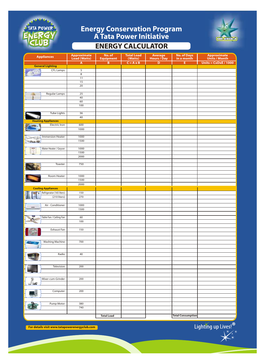

# **ENERGY CALCULATOR Energy Conservation Program A Tata Power Initiative**



| <b>Appliances</b>                     | <b>Approximate</b><br>Load (Watts) | No. of<br><b>Equipment</b> | <b>Total Load</b><br>(Watts) | Average<br>Hours / Day | No. of Days<br>in a month | <b>Approximate</b><br>Units / Month |
|---------------------------------------|------------------------------------|----------------------------|------------------------------|------------------------|---------------------------|-------------------------------------|
|                                       | A                                  | $\overline{B}$             | $C = A \times B$             | $\overline{D}$         | E                         | Units = $CxDxE / 1000$              |
| <b>General Lighting</b>               |                                    |                            |                              |                        |                           |                                     |
| <b>CFL Lamps</b>                      | 5                                  |                            |                              |                        |                           |                                     |
|                                       | 8                                  |                            |                              |                        |                           |                                     |
|                                       | 11                                 |                            |                              |                        |                           |                                     |
|                                       | 15                                 |                            |                              |                        |                           |                                     |
|                                       | 20                                 |                            |                              |                        |                           |                                     |
|                                       |                                    |                            |                              |                        |                           |                                     |
| Regular Lamps                         | 25                                 |                            |                              |                        |                           |                                     |
|                                       | 40                                 |                            |                              |                        |                           |                                     |
|                                       | 60                                 |                            |                              |                        |                           |                                     |
|                                       | 100                                |                            |                              |                        |                           |                                     |
|                                       |                                    |                            |                              |                        |                           |                                     |
| <b>Tube Lights</b>                    | 36                                 |                            |                              |                        |                           |                                     |
|                                       | 40                                 |                            |                              |                        |                           |                                     |
| <b>Heating Appliances</b>             |                                    |                            |                              |                        |                           |                                     |
| Electric Iron                         | 600                                |                            |                              |                        |                           |                                     |
|                                       | 1000                               |                            |                              |                        |                           |                                     |
|                                       |                                    |                            |                              |                        |                           |                                     |
| <b>Immersion Heater</b>               | 1000                               |                            |                              |                        |                           |                                     |
| -33                                   | 1500                               |                            |                              |                        |                           |                                     |
|                                       |                                    |                            |                              |                        |                           |                                     |
| Water Heater / Geyser                 | 1000                               |                            |                              |                        |                           |                                     |
|                                       | 1500                               |                            |                              |                        |                           |                                     |
|                                       | 2000                               |                            |                              |                        |                           |                                     |
|                                       |                                    |                            |                              |                        |                           |                                     |
| Toaster                               | 750                                |                            |                              |                        |                           |                                     |
|                                       |                                    |                            |                              |                        |                           |                                     |
|                                       | 1000                               |                            |                              |                        |                           |                                     |
| Room Heater                           | 1500                               |                            |                              |                        |                           |                                     |
|                                       |                                    |                            |                              |                        |                           |                                     |
|                                       | 2000                               |                            |                              |                        |                           |                                     |
| <b>Cooling Appliances</b>             |                                    |                            |                              |                        |                           |                                     |
| Refrigerator (165 liters)<br>ЕŤ,<br>× | 150                                |                            |                              |                        |                           |                                     |
| (210 liters)                          | 270                                |                            |                              |                        |                           |                                     |
|                                       |                                    |                            |                              |                        |                           |                                     |
| Air - Conditioner                     | 1000                               |                            |                              |                        |                           |                                     |
|                                       | 1500                               |                            |                              |                        |                           |                                     |
|                                       |                                    |                            |                              |                        |                           |                                     |
| Table Fan / Ceiling Fan               | 60                                 |                            |                              |                        |                           |                                     |
|                                       | 100                                |                            |                              |                        |                           |                                     |
|                                       |                                    |                            |                              |                        |                           |                                     |
| Exhaust Fan                           | 150                                |                            |                              |                        |                           |                                     |
|                                       |                                    |                            |                              |                        |                           |                                     |
|                                       |                                    |                            |                              |                        |                           |                                     |
| <b>Washing Machine</b>                | 700                                |                            |                              |                        |                           |                                     |
|                                       |                                    |                            |                              |                        |                           |                                     |
|                                       |                                    |                            |                              |                        |                           |                                     |
| Radio                                 | 40                                 |                            |                              |                        |                           |                                     |
|                                       |                                    |                            |                              |                        |                           |                                     |
|                                       |                                    |                            |                              |                        |                           |                                     |
| Television                            | 200                                |                            |                              |                        |                           |                                     |
|                                       |                                    |                            |                              |                        |                           |                                     |
|                                       |                                    |                            |                              |                        |                           |                                     |
| Mixer-cum-Grinder<br>m                | 200                                |                            |                              |                        |                           |                                     |
| تان ب                                 |                                    |                            |                              |                        |                           |                                     |
|                                       |                                    |                            |                              |                        |                           |                                     |
| Computer                              | 200                                |                            |                              |                        |                           |                                     |
|                                       |                                    |                            |                              |                        |                           |                                     |
|                                       |                                    |                            |                              |                        |                           |                                     |
| Pump Motor                            | 380                                |                            |                              |                        |                           |                                     |
|                                       | 740                                |                            |                              |                        |                           |                                     |
|                                       |                                    |                            |                              |                        |                           |                                     |
|                                       |                                    |                            |                              |                        | <b>Total Consumption</b>  |                                     |
|                                       |                                    | <b>Total Load</b>          |                              |                        |                           |                                     |

**For details visit www.tatapowerenergyclub.com**